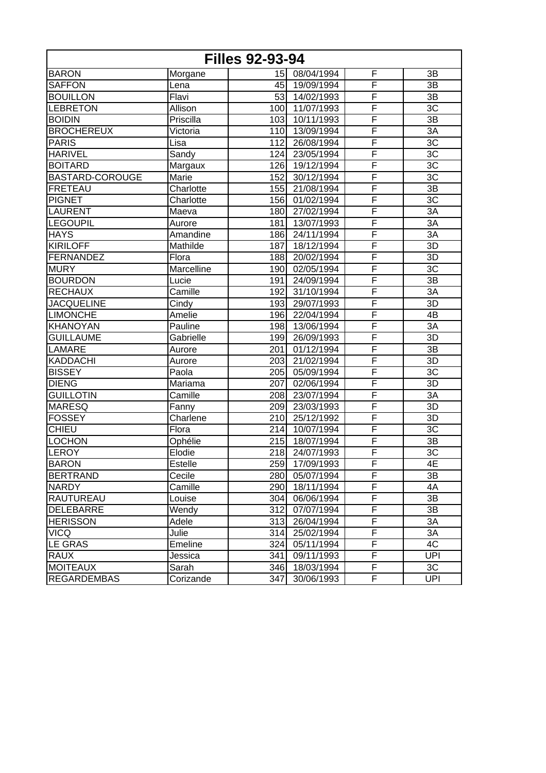|                        |            | <b>Filles 92-93-94</b> |            |                         |                 |
|------------------------|------------|------------------------|------------|-------------------------|-----------------|
| <b>BARON</b>           | Morgane    | 15 <sub>l</sub>        | 08/04/1994 | F                       | 3B              |
| <b>SAFFON</b>          | Lena       | 45                     | 19/09/1994 | F                       | 3B              |
| <b>BOUILLON</b>        | Flavi      | 53                     | 14/02/1993 | F                       | 3B              |
| <b>LEBRETON</b>        | Allison    | 100                    | 11/07/1993 | F                       | $\overline{3C}$ |
| <b>BOIDIN</b>          | Priscilla  | 103                    | 10/11/1993 | F                       | 3B              |
| <b>BROCHEREUX</b>      | Victoria   | 110                    | 13/09/1994 | $\overline{\mathsf{F}}$ | $\overline{3A}$ |
| <b>PARIS</b>           | Lisa       | 112                    | 26/08/1994 | F                       | $\overline{3C}$ |
| <b>HARIVEL</b>         | Sandy      | 124                    | 23/05/1994 | F                       | 3C              |
| <b>BOITARD</b>         | Margaux    | 126                    | 19/12/1994 | F                       | 3C              |
| <b>BASTARD-COROUGE</b> | Marie      | 152                    | 30/12/1994 | F                       | 3C              |
| FRETEAU                | Charlotte  | 155                    | 21/08/1994 | F                       | 3B              |
| <b>PIGNET</b>          | Charlotte  | 156                    | 01/02/1994 | F                       | $\overline{3C}$ |
| <b>LAURENT</b>         | Maeva      | 180                    | 27/02/1994 | F                       | 3A              |
| <b>LEGOUPIL</b>        | Aurore     | 181                    | 13/07/1993 | $\overline{\mathsf{F}}$ | 3A              |
| <b>HAYS</b>            | Amandine   | 186                    | 24/11/1994 | F                       | $\overline{3A}$ |
| <b>KIRILOFF</b>        | Mathilde   | 187                    | 18/12/1994 | F                       | 3D              |
| FERNANDEZ              | Flora      | 188                    | 20/02/1994 | F                       | 3D              |
| <b>MURY</b>            | Marcelline | 190                    | 02/05/1994 | F                       | $\overline{3C}$ |
| <b>BOURDON</b>         | Lucie      | 191                    | 24/09/1994 | F                       | 3B              |
| <b>RECHAUX</b>         | Camille    | 192                    | 31/10/1994 | $\overline{\mathsf{F}}$ | 3A              |
| <b>JACQUELINE</b>      | Cindy      | 193                    | 29/07/1993 | F                       | 3D              |
| <b>LIMONCHE</b>        | Amelie     | 196                    | 22/04/1994 | F                       | 4B              |
| <b>KHANOYAN</b>        | Pauline    | 198                    | 13/06/1994 | F                       | 3A              |
| <b>GUILLAUME</b>       | Gabrielle  | 199                    | 26/09/1993 | F                       | 3D              |
| <b>LAMARE</b>          | Aurore     | 201                    | 01/12/1994 | F                       | 3B              |
| KADDACHI               | Aurore     | 203                    | 21/02/1994 | $\overline{\mathsf{F}}$ | 3D              |
| <b>BISSEY</b>          | Paola      | 205                    | 05/09/1994 | F                       | 3C              |
| <b>DIENG</b>           | Mariama    | 207                    | 02/06/1994 | F                       | 3D              |
| <b>GUILLOTIN</b>       | Camille    | 208                    | 23/07/1994 | F                       | 3A              |
| <b>MARESQ</b>          | Fanny      | 209                    | 23/03/1993 | F                       | $\overline{3D}$ |
| <b>FOSSEY</b>          | Charlene   | 210                    | 25/12/1992 | F                       | 3D              |
| <b>CHIEU</b>           | Flora      | 214                    | 10/07/1994 | $\overline{\mathsf{F}}$ | 3C              |
| <b>LOCHON</b>          | Ophélie    | 215                    | 18/07/1994 | F                       | 3B              |
| LEROY                  | Elodie     | 218                    | 24/07/1993 | F                       | 3C              |
| <b>BARON</b>           | Estelle    | 259                    | 17/09/1993 | F                       | 4E              |
| <b>BERTRAND</b>        | Cecile     | 280                    | 05/07/1994 | F                       | 3B              |
| <b>NARDY</b>           | Camille    | 290                    | 18/11/1994 | F                       | 4A              |
| <b>RAUTUREAU</b>       | Louise     | 304                    | 06/06/1994 | $\overline{F}$          | 3B              |
| DELEBARRE              | Wendy      | 312                    | 07/07/1994 | F                       | 3B              |
| <b>HERISSON</b>        | Adele      | 313                    | 26/04/1994 | F                       | 3A              |
| <b>VICQ</b>            | Julie      | 314                    | 25/02/1994 | F                       | 3A              |
| <b>LE GRAS</b>         | Emeline    | 324                    | 05/11/1994 | F                       | 4C              |
| <b>RAUX</b>            | Jessica    | 341                    | 09/11/1993 | F                       | UPI             |
| <b>MOITEAUX</b>        | Sarah      | 346                    | 18/03/1994 | F                       | 3C              |
| <b>REGARDEMBAS</b>     | Corizande  | 347                    | 30/06/1993 | $\overline{F}$          | <b>UPI</b>      |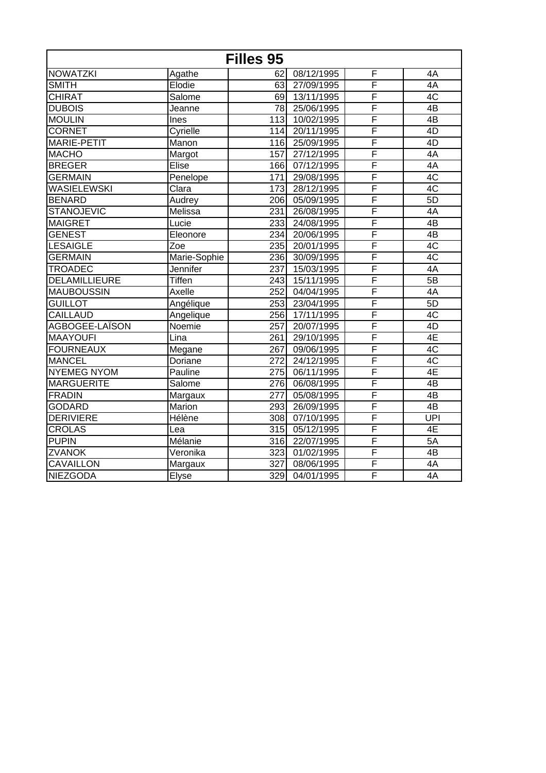|                    |               | Filles 95        |            |                         |                 |
|--------------------|---------------|------------------|------------|-------------------------|-----------------|
| <b>NOWATZKI</b>    | Agathe        | 62               | 08/12/1995 | F                       | 4A              |
| <b>SMITH</b>       | Elodie        | 63               | 27/09/1995 | F                       | 4A              |
| <b>CHIRAT</b>      | Salome        | 69               | 13/11/1995 | F                       | $\overline{4C}$ |
| <b>DUBOIS</b>      | Jeanne        | 78               | 25/06/1995 | F                       | 4B              |
| <b>MOULIN</b>      | Ines          | 113              | 10/02/1995 | F                       | 4B              |
| <b>CORNET</b>      | Cyrielle      | 114              | 20/11/1995 | F                       | 4D              |
| <b>MARIE-PETIT</b> | Manon         | 116              | 25/09/1995 | F                       | 4D              |
| <b>MACHO</b>       | Margot        | 157              | 27/12/1995 | F                       | 4A              |
| <b>BREGER</b>      | Elise         | 166              | 07/12/1995 | F                       | 4A              |
| <b>GERMAIN</b>     | Penelope      | 171              | 29/08/1995 | F                       | 4C              |
| <b>WASIELEWSKI</b> | Clara         | 173              | 28/12/1995 | F                       | $\overline{AC}$ |
| <b>BENARD</b>      | Audrey        | 206              | 05/09/1995 | F                       | 5D              |
| <b>STANOJEVIC</b>  | Melissa       | 231              | 26/08/1995 | F                       | 4A              |
| <b>MAIGRET</b>     | Lucie         | 233              | 24/08/1995 | F                       | 4B              |
| <b>GENEST</b>      | Eleonore      | 234              | 20/06/1995 | F                       | 4B              |
| <b>LESAIGLE</b>    | Zoe           | 235              | 20/01/1995 | F                       | 4C              |
| <b>GERMAIN</b>     | Marie-Sophie  | 236              | 30/09/1995 | $\overline{\mathsf{F}}$ | $\overline{AC}$ |
| <b>TROADEC</b>     | Jennifer      | 237              | 15/03/1995 | F                       | 4A              |
| DELAMILLIEURE      | <b>Tiffen</b> | 243              | 15/11/1995 | F                       | $\overline{5B}$ |
| <b>MAUBOUSSIN</b>  | Axelle        | 252              | 04/04/1995 | F                       | 4A              |
| <b>GUILLOT</b>     | Angélique     | 253              | 23/04/1995 | F                       | 5D              |
| <b>CAILLAUD</b>    | Angelique     | 256              | 17/11/1995 | F                       | $\overline{4C}$ |
| AGBOGEE-LAÏSON     | Noemie        | 257              | 20/07/1995 | $\overline{\mathsf{F}}$ | 4D              |
| <b>MAAYOUFI</b>    | Lina          | 261              | 29/10/1995 | F                       | 4E              |
| <b>FOURNEAUX</b>   | Megane        | 267              | 09/06/1995 | F                       | $\overline{4C}$ |
| <b>MANCEL</b>      | Doriane       | 272              | 24/12/1995 | F                       | 4C              |
| <b>NYEMEG NYOM</b> | Pauline       | $\overline{275}$ | 06/11/1995 | F                       | 4E              |
| <b>MARGUERITE</b>  | Salome        | $\overline{276}$ | 06/08/1995 | F                       | 4B              |
| FRADIN             | Margaux       | 277              | 05/08/1995 | F                       | 4B              |
| <b>GODARD</b>      | Marion        | 293              | 26/09/1995 | F                       | 4B              |
| <b>DERIVIERE</b>   | Hélène        | 308              | 07/10/1995 | F                       | UPI             |
| CROLAS             | Lea           | 315              | 05/12/1995 | F                       | 4E              |
| <b>PUPIN</b>       | Mélanie       | 316              | 22/07/1995 | F                       | 5A              |
| <b>ZVANOK</b>      | Veronika      | 323              | 01/02/1995 | F                       | 4B              |
| <b>CAVAILLON</b>   | Margaux       | 327              | 08/06/1995 | F                       | 4A              |
| <b>NIEZGODA</b>    | Elyse         | 329              | 04/01/1995 | F                       | 4A              |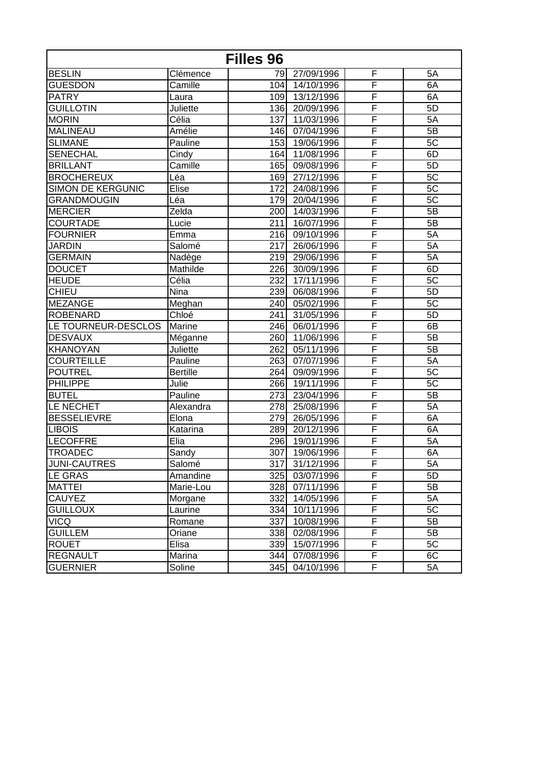| Filles 96                |                 |     |                         |                         |                 |
|--------------------------|-----------------|-----|-------------------------|-------------------------|-----------------|
| <b>BESLIN</b>            | Clémence        | 791 | 27/09/1996              | F                       | 5A              |
| GUESDON                  | Camille         | 104 | $\frac{1}{14/1}$ 0/1996 | F                       | 6A              |
| <b>PATRY</b>             | Laura           | 109 | 13/12/1996              | F                       | 6A              |
| <b>GUILLOTIN</b>         | Juliette        | 136 | 20/09/1996              | F                       | 5D              |
| <b>MORIN</b>             | Célia           | 137 | 11/03/1996              | F                       | 5A              |
| <b>MALINEAU</b>          | Amélie          | 146 | 07/04/1996              | F                       | 5B              |
| <b>SLIMANE</b>           | Pauline         | 153 | 19/06/1996              | F                       | 5C              |
| <b>SENECHAL</b>          | Cindy           | 164 | 11/08/1996              | F                       | 6D              |
| <b>BRILLANT</b>          | Camille         | 165 | 09/08/1996              | F                       | 5D              |
| <b>BROCHEREUX</b>        | Léa             | 169 | 27/12/1996              | F                       | 5 <sub>C</sub>  |
| <b>SIMON DE KERGUNIC</b> | Elise           | 172 | 24/08/1996              | F                       | 5C              |
| <b>GRANDMOUGIN</b>       | Léa             | 179 | 20/04/1996              | F                       | 5C              |
| <b>MERCIER</b>           | Zelda           | 200 | 14/03/1996              | F                       | $\overline{5B}$ |
| <b>COURTADE</b>          | Lucie           | 211 | 16/07/1996              | F                       | 5B              |
| <b>FOURNIER</b>          | Emma            | 216 | 09/10/1996              | F                       | 5A              |
| <b>JARDIN</b>            | Salomé          | 217 | 26/06/1996              | F                       | 5A              |
| <b>GERMAIN</b>           | Nadège          | 219 | 29/06/1996              | F                       | 5A              |
| <b>DOUCET</b>            | Mathilde        | 226 | 30/09/1996              | F                       | 6D              |
| <b>HEUDE</b>             | Célia           | 232 | 17/11/1996              | F                       | 5C              |
| <b>CHIEU</b>             | Nina            | 239 | 06/08/1996              | F                       | 5D              |
| MEZANGE                  | Meghan          | 240 | 05/02/1996              | $\overline{\mathsf{F}}$ | 5C              |
| <b>ROBENARD</b>          | Chloé           | 241 | 31/05/1996              | F                       | 5D              |
| LE TOURNEUR-DESCLOS      | Marine          | 246 | 06/01/1996              | F                       | 6B              |
| <b>DESVAUX</b>           | Méganne         | 260 | 11/06/1996              | F                       | 5B              |
| <b>KHANOYAN</b>          | Juliette        | 262 | 05/11/1996              | F                       | 5B              |
| <b>COURTEILLE</b>        | Pauline         | 263 | 07/07/1996              | F                       | 5A              |
| <b>POUTREL</b>           | <b>Bertille</b> | 264 | 09/09/1996              | F                       | 5C              |
| <b>PHILIPPE</b>          | Julie           | 266 | 19/11/1996              | F                       | 5C              |
| <b>BUTEL</b>             | Pauline         | 273 | 23/04/1996              | $\overline{\mathsf{F}}$ | 5B              |
| LE NECHET                | Alexandra       | 278 | 25/08/1996              | F                       | 5A              |
| <b>BESSELIEVRE</b>       | Elona           | 279 | 26/05/1996              | F                       | 6A              |
| <b>LIBOIS</b>            | Katarina        | 289 | 20/12/1996              | F                       | 6A              |
| <b>LECOFFRE</b>          | Elia            | 296 | 19/01/1996              | F                       | 5A              |
| <b>TROADEC</b>           | Sandy           | 307 | 19/06/1996              | F                       | 6A              |
| JUNI-CAUTRES             | Salomé          | 317 | 31/12/1996              | F                       | 5A              |
| LE GRAS                  | Amandine        | 325 | 03/07/1996              | F                       | 5D              |
| <b>MATTEI</b>            | Marie-Lou       | 328 | 07/11/1996              | F                       | 5B              |
| <b>CAUYEZ</b>            | Morgane         | 332 | 14/05/1996              | F                       | 5A              |
| <b>GUILLOUX</b>          | Laurine         | 334 | 10/11/1996              | F                       | 5C              |
| <b>VICQ</b>              | Romane          | 337 | 10/08/1996              | F                       | 5B              |
| <b>GUILLEM</b>           | Oriane          | 338 | 02/08/1996              | F                       | 5B              |
| <b>ROUET</b>             | Elisa           | 339 | 15/07/1996              | F                       | 5C              |
| <b>REGNAULT</b>          | Marina          | 344 | 07/08/1996              | F                       | 6C              |
| <b>GUERNIER</b>          | Soline          | 345 | 04/10/1996              | $\overline{F}$          | 5A              |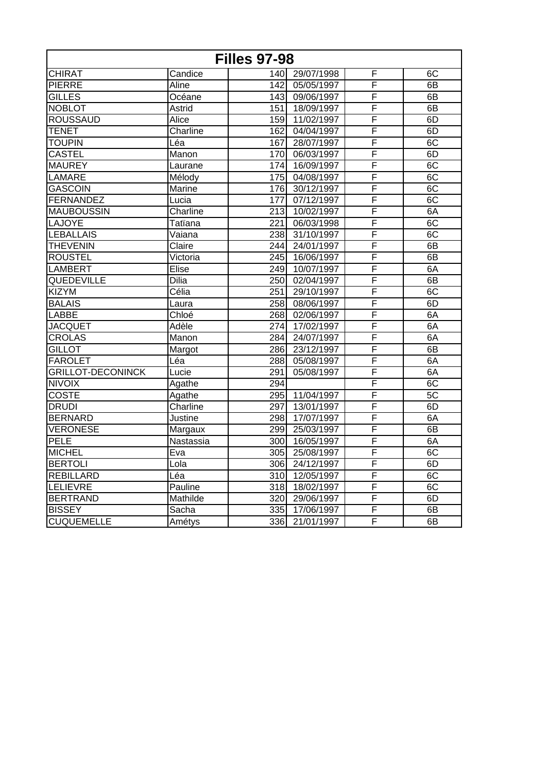| <b>Filles 97-98</b>      |           |                  |                |                         |    |
|--------------------------|-----------|------------------|----------------|-------------------------|----|
| <b>CHIRAT</b>            | Candice   |                  | 140 29/07/1998 | F                       | 6C |
| <b>PIERRE</b>            | Aline     | 1421             | 05/05/1997     | F                       | 6B |
| GILLES                   | Océane    | 143              | 09/06/1997     | F                       | 6B |
| <b>NOBLOT</b>            | Astrid    | 151              | 18/09/1997     | F                       | 6B |
| <b>ROUSSAUD</b>          | Alice     | 159              | 11/02/1997     | F                       | 6D |
| <b>TENET</b>             | Charline  | 162              | 04/04/1997     | F                       | 6D |
| <b>TOUPIN</b>            | Léa       | 167              | 28/07/1997     | F                       | 6C |
| <b>CASTEL</b>            | Manon     | 170              | 06/03/1997     | F                       | 6D |
| <b>MAUREY</b>            | Laurane   | 174              | 16/09/1997     | F                       | 6C |
| <b>LAMARE</b>            | Mélody    | 175              | 04/08/1997     | F                       | 6C |
| <b>GASCOIN</b>           | Marine    | 176              | 30/12/1997     | F                       | 6C |
| FERNANDEZ                | Lucia     | 177              | 07/12/1997     | F                       | 6C |
| <b>MAUBOUSSIN</b>        | Charline  | 213              | 10/02/1997     | F                       | 6A |
| LAJOYE                   | Tatïana   | 221              | 06/03/1998     | $\overline{\mathsf{F}}$ | 6C |
| <b>LEBALLAIS</b>         | Vaiana    | 238              | 31/10/1997     | F                       | 6C |
| <b>THEVENIN</b>          | Claire    | 244              | 24/01/1997     | F                       | 6B |
| <b>ROUSTEL</b>           | Victoria  | 245              | 16/06/1997     | F                       | 6B |
| <b>LAMBERT</b>           | $E$ lise  | 249              | 10/07/1997     | F                       | 6A |
| QUEDEVILLE               | Dilia     | 250              | 02/04/1997     | F                       | 6B |
| <b>KIZYM</b>             | Célia     | 251              | 29/10/1997     | F                       | 6C |
| <b>BALAIS</b>            | Laura     | 258              | 08/06/1997     | F                       | 6D |
| <b>LABBE</b>             | Chloé     | 268              | 02/06/1997     | F                       | 6A |
| <b>JACQUET</b>           | Adèle     | 274              | 17/02/1997     | F                       | 6A |
| <b>CROLAS</b>            | Manon     | 284              | 24/07/1997     | F                       | 6A |
| <b>GILLOT</b>            | Margot    | 286              | 23/12/1997     | F                       | 6B |
| <b>FAROLET</b>           | Léa       | 288              | 05/08/1997     | $\overline{\mathsf{F}}$ | 6A |
| <b>GRILLOT-DECONINCK</b> | Lucie     | 291              | 05/08/1997     | F                       | 6A |
| <b>NIVOIX</b>            | Agathe    | 294              |                | F                       | 6C |
| <b>COSTE</b>             | Agathe    | 295              | 11/04/1997     | F                       | 5C |
| <b>DRUDI</b>             | Charline  | $\overline{297}$ | 13/01/1997     | F                       | 6D |
| <b>BERNARD</b>           | Justine   | 298              | 17/07/1997     | F                       | 6A |
| <b>VERONESE</b>          | Margaux   | 299              | 25/03/1997     | F                       | 6B |
| <b>PELE</b>              | Nastassia | 300              | 16/05/1997     | F                       | 6A |
| <b>MICHEL</b>            | Eva       | 305              | 25/08/1997     | F                       | 6C |
| <b>BERTOLI</b>           | Lola      | 306              | 24/12/1997     | $\overline{\mathsf{F}}$ | 6D |
| <b>REBILLARD</b>         | Léa       | 310              | 12/05/1997     | F                       | 6C |
| <b>LELIEVRE</b>          | Pauline   | 318              | 18/02/1997     | F                       | 6C |
| <b>BERTRAND</b>          | Mathilde  | 320              | 29/06/1997     | F                       | 6D |
| <b>BISSEY</b>            | Sacha     | 335              | 17/06/1997     | F                       | 6B |
| <b>CUQUEMELLE</b>        | Amétys    | 336              | 21/01/1997     | F                       | 6B |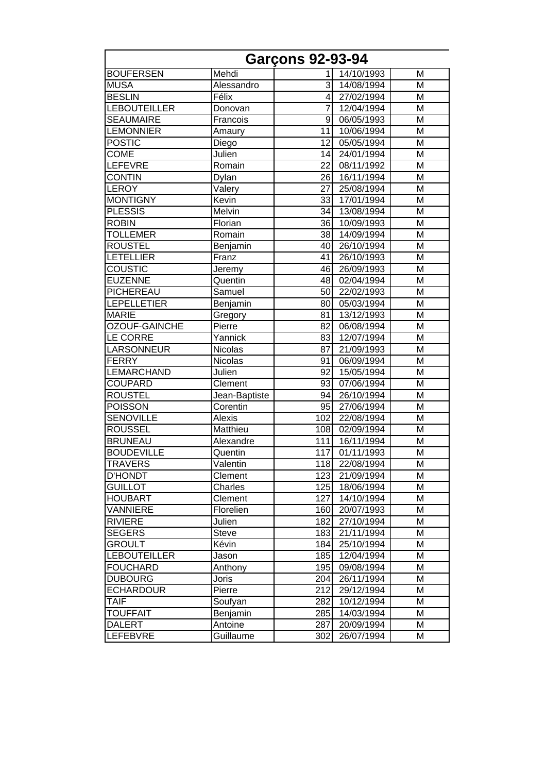|                      |               | <b>Garçons 92-93-94</b> |            |   |
|----------------------|---------------|-------------------------|------------|---|
| <b>BOUFERSEN</b>     | Mehdi         | 1                       | 14/10/1993 | M |
| <b>MUSA</b>          | Alessandro    | 3                       | 14/08/1994 | M |
| <b>BESLIN</b>        | Félix         | 4                       | 27/02/1994 | M |
| <b>LEBOUTEILLER</b>  | Donovan       | 7                       | 12/04/1994 | M |
| <b>SEAUMAIRE</b>     | Francois      | 9                       | 06/05/1993 | M |
| <b>LEMONNIER</b>     | Amaury        | 11                      | 10/06/1994 | M |
| <b>POSTIC</b>        | Diego         | 12                      | 05/05/1994 | M |
| <b>COME</b>          | Julien        | 14                      | 24/01/1994 | M |
| LEFEVRE              | Romain        | 22                      | 08/11/1992 | M |
| <b>CONTIN</b>        | Dylan         | 26                      | 16/11/1994 | M |
| <b>LEROY</b>         | Valery        | $\overline{27}$         | 25/08/1994 | M |
| <b>MONTIGNY</b>      | Kevin         | 33                      | 17/01/1994 | M |
| <b>PLESSIS</b>       | Melvin        | 34                      | 13/08/1994 | M |
| <b>ROBIN</b>         | Florian       | 36                      | 10/09/1993 | M |
| <b>TOLLEMER</b>      | Romain        | 38                      | 14/09/1994 | M |
| <b>ROUSTEL</b>       | Benjamin      | 40                      | 26/10/1994 | M |
| <b>LETELLIER</b>     | Franz         | 41                      | 26/10/1993 | M |
| <b>COUSTIC</b>       | Jeremy        | 46                      | 26/09/1993 | M |
| <b>EUZENNE</b>       | Quentin       | 48                      | 02/04/1994 | M |
| PICHEREAU            | Samuel        | 50                      | 22/02/1993 | M |
| <b>LEPELLETIER</b>   | Benjamin      | 80                      | 05/03/1994 | M |
| <b>MARIE</b>         | Gregory       | 81                      | 13/12/1993 | M |
| <b>OZOUF-GAINCHE</b> | Pierre        | 82                      | 06/08/1994 | M |
| LE CORRE             | Yannick       | 83                      | 12/07/1994 | M |
| LARSONNEUR           | Nicolas       | 87                      | 21/09/1993 | M |
| <b>FERRY</b>         | Nicolas       | 91                      | 06/09/1994 | M |
| LEMARCHAND           | Julien        | 92                      | 15/05/1994 | M |
| COUPARD              | Clement       | 93                      | 07/06/1994 | M |
| <b>ROUSTEL</b>       | Jean-Baptiste | 94                      | 26/10/1994 | M |
| <b>POISSON</b>       | Corentin      | 95                      | 27/06/1994 | M |
| <b>SENOVILLE</b>     | <b>Alexis</b> | 102                     | 22/08/1994 | M |
| <b>ROUSSEL</b>       | Matthieu      | 108                     | 02/09/1994 | M |
| <b>BRUNEAU</b>       | Alexandre     | 111                     | 16/11/1994 | M |
| <b>BOUDEVILLE</b>    | Quentin       | $\overline{1}17$        | 01/11/1993 | M |
| <b>TRAVERS</b>       | Valentin      | 118                     | 22/08/1994 | M |
| <b>D'HONDT</b>       | Clement       | 123                     | 21/09/1994 | м |
| <b>GUILLOT</b>       | Charles       | 125                     | 18/06/1994 | M |
| <b>HOUBART</b>       | Clement       | 127                     | 14/10/1994 | M |
| VANNIERE             | Florelien     | 160                     | 20/07/1993 | М |
| <b>RIVIERE</b>       | Julien        | 182                     | 27/10/1994 | Μ |
| <b>SEGERS</b>        | Steve         | 183                     | 21/11/1994 | M |
| <b>GROULT</b>        | Kévin         | 184                     | 25/10/1994 | M |
| <b>LEBOUTEILLER</b>  | Jason         | 185                     | 12/04/1994 | M |
| <b>FOUCHARD</b>      | Anthony       | 195                     | 09/08/1994 | M |
| <b>DUBOURG</b>       | Joris         | 204                     | 26/11/1994 | M |
| <b>ECHARDOUR</b>     | Pierre        | 212                     | 29/12/1994 | М |
| TAIF                 | Soufyan       | 282                     | 10/12/1994 | M |
| <b>TOUFFAIT</b>      | Benjamin      | 285                     | 14/03/1994 | M |
| <b>DALERT</b>        | Antoine       | 287                     | 20/09/1994 | M |
| LEFEBVRE             | Guillaume     | 302                     | 26/07/1994 | M |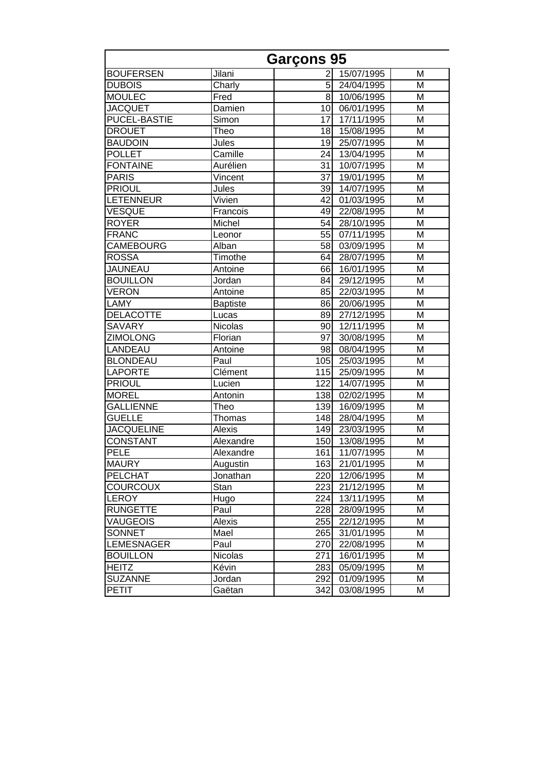| <b>Garçons 95</b>   |                 |                 |                |   |
|---------------------|-----------------|-----------------|----------------|---|
| <b>BOUFERSEN</b>    | Jilani          | 2               | 15/07/1995     | M |
| <b>DUBOIS</b>       | Charly          | 5               | 24/04/1995     | M |
| <b>MOULEC</b>       | Fred            | 8               | 10/06/1995     | M |
| <b>JACQUET</b>      | Damien          | 10              | 06/01/1995     | Μ |
| <b>PUCEL-BASTIE</b> | Simon           | 17              | 17/11/1995     | M |
| <b>DROUET</b>       | Theo            | 18 <sup>1</sup> | 15/08/1995     | M |
| <b>BAUDOIN</b>      | Jules           | 19              | 25/07/1995     | M |
| <b>POLLET</b>       | Camille         | 24              | 13/04/1995     | M |
| <b>FONTAINE</b>     | Aurélien        | 31              | 10/07/1995     | M |
| <b>PARIS</b>        | Vincent         | 37              | 19/01/1995     | M |
| <b>PRIOUL</b>       | Jules           | 39              | 14/07/1995     | M |
| <b>LETENNEUR</b>    | Vivien          | 42              | 01/03/1995     | M |
| VESQUE              | Francois        | 49              | 22/08/1995     | M |
| <b>ROYER</b>        | Michel          | 54              | 28/10/1995     | M |
| <b>FRANC</b>        | Leonor          | 55              | 07/11/1995     | M |
| CAMEBOURG           | Alban           | 58              | 03/09/1995     | M |
| <b>ROSSA</b>        | Timothe         | 64              | 28/07/1995     | M |
| <b>JAUNEAU</b>      | Antoine         | 66I             | 16/01/1995     | M |
| <b>BOUILLON</b>     | Jordan          | 84              | 29/12/1995     | M |
| <b>VERON</b>        | Antoine         | 85              | 22/03/1995     | M |
| LAMY                | <b>Baptiste</b> | 86              | 20/06/1995     | M |
| <b>DELACOTTE</b>    | Lucas           | 89              | 27/12/1995     | M |
| <b>SAVARY</b>       | Nicolas         | 90              | 12/11/1995     | M |
| <b>ZIMOLONG</b>     | Florian         | 97              | 30/08/1995     | M |
| LANDEAU             | Antoine         | 98              | 08/04/1995     | M |
| <b>BLONDEAU</b>     | Paul            | 105             | 25/03/1995     | M |
| <b>LAPORTE</b>      | Clément         | 115             | 25/09/1995     | M |
| <b>PRIOUL</b>       | Lucien          | 122             | 14/07/1995     | M |
| <b>MOREL</b>        | Antonin         | 138             | 02/02/1995     | M |
| <b>GALLIENNE</b>    | Theo            | 139             | 16/09/1995     | M |
| <b>GUELLE</b>       | Thomas          | 148             | 28/04/1995     | M |
| <b>JACQUELINE</b>   | Alexis          |                 | 149 23/03/1995 | M |
| <b>CONSTANT</b>     | Alexandre       |                 | 150 13/08/1995 | M |
| <b>PELE</b>         | Alexandre       | 161             | 11/07/1995     | M |
| <b>MAURY</b>        | Augustin        | 163             | 21/01/1995     | M |
| <b>PELCHAT</b>      | Jonathan        | 220             | 12/06/1995     | М |
| <b>COURCOUX</b>     | Stan            | 223             | 21/12/1995     | M |
| <b>LEROY</b>        | Hugo            | 224             | 13/11/1995     | M |
| <b>RUNGETTE</b>     | Paul            | 228             | 28/09/1995     | M |
| <b>VAUGEOIS</b>     | Alexis          | 255             | 22/12/1995     | м |
| <b>SONNET</b>       | Mael            | 265             | 31/01/1995     | M |
| <b>LEMESNAGER</b>   | Paul            | 270             | 22/08/1995     | M |
| <b>BOUILLON</b>     | Nicolas         | 271             | 16/01/1995     | M |
| <b>HEITZ</b>        | Kévin           | 283             | 05/09/1995     | M |
| <b>SUZANNE</b>      | Jordan          | 292             | 01/09/1995     | М |
| <b>PETIT</b>        | Gaëtan          | 342             | 03/08/1995     | М |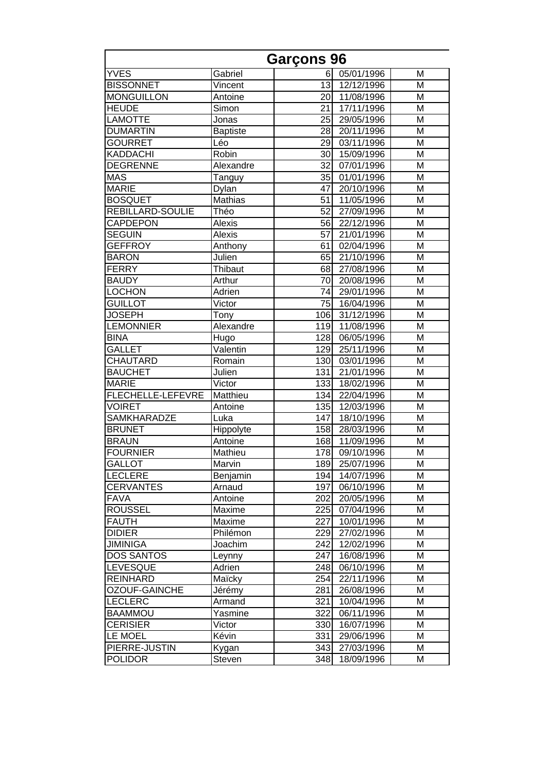|                      |                 | <b>Garçons 96</b> |                |   |
|----------------------|-----------------|-------------------|----------------|---|
| <b>YVES</b>          | Gabriel         | 6                 | 05/01/1996     | M |
| <b>BISSONNET</b>     | Vincent         | 13                | 12/12/1996     | M |
| <b>MONGUILLON</b>    | Antoine         | 20                | 11/08/1996     | M |
| <b>HEUDE</b>         | Simon           | 21                | 17/11/1996     | M |
| <b>LAMOTTE</b>       | Jonas           | 25                | 29/05/1996     | M |
| <b>DUMARTIN</b>      | <b>Baptiste</b> | 28                | 20/11/1996     | M |
| <b>GOURRET</b>       | Léo             | 29                | 03/11/1996     | M |
| <b>KADDACHI</b>      | Robin           | 30                | 15/09/1996     | M |
| <b>DEGRENNE</b>      | Alexandre       | 32                | 07/01/1996     | M |
| <b>MAS</b>           | Tanguy          | 35                | 01/01/1996     | M |
| <b>MARIE</b>         | Dylan           | 47                | 20/10/1996     | M |
| <b>BOSQUET</b>       | <b>Mathias</b>  | 51                | 11/05/1996     | M |
| REBILLARD-SOULIE     | Théo            | 52                | 27/09/1996     | M |
| CAPDEPON             | Alexis          | 56                | 22/12/1996     | M |
| <b>SEGUIN</b>        | Alexis          | 57                | 21/01/1996     | M |
| <b>GEFFROY</b>       | Anthony         | 61                | 02/04/1996     | M |
| <b>BARON</b>         | Julien          | 65                | 21/10/1996     | M |
| <b>FERRY</b>         | Thibaut         | 68                | 27/08/1996     | M |
| <b>BAUDY</b>         | Arthur          | 70                | 20/08/1996     | M |
| <b>LOCHON</b>        | Adrien          | 74                | 29/01/1996     | M |
| <b>GUILLOT</b>       | Victor          | 75                | 16/04/1996     | M |
| <b>JOSEPH</b>        | Tony            | 106               | 31/12/1996     | M |
| <b>LEMONNIER</b>     | Alexandre       | 119               | 11/08/1996     | M |
| <b>BINA</b>          | Hugo            | 128               | 06/05/1996     | M |
| <b>GALLET</b>        | Valentin        | 129               | 25/11/1996     | M |
| CHAUTARD             | Romain          | 130               | 03/01/1996     | M |
| <b>BAUCHET</b>       | Julien          | 131               | 21/01/1996     | M |
| <b>MARIE</b>         | Victor          | 133               | 18/02/1996     | M |
| FLECHELLE-LEFEVRE    | Matthieu        | 134               | 22/04/1996     | M |
| <b>VOIRET</b>        | Antoine         | 135               | 12/03/1996     | M |
| <b>SAMKHARADZE</b>   | Luka            | 147               | 18/10/1996     | M |
| <b>BRUNET</b>        | Hippolyte       |                   | 158 28/03/1996 | M |
| <b>BRAUN</b>         | Antoine         | 168               | 11/09/1996     | M |
| <b>FOURNIER</b>      | Mathieu         | 178               | 09/10/1996     | M |
| <b>GALLOT</b>        | Marvin          | 189               | 25/07/1996     | M |
| LECLERE              | Benjamin        | 194               | 14/07/1996     | М |
| <b>CERVANTES</b>     | Arnaud          | 197               | 06/10/1996     | M |
| <b>FAVA</b>          | Antoine         | 202               | 20/05/1996     | M |
| <b>ROUSSEL</b>       | Maxime          | 225               | 07/04/1996     | Μ |
| FAUTH                | Maxime          | 227               | 10/01/1996     | Μ |
| <b>DIDIER</b>        | Philémon        | 229               | 27/02/1996     | M |
| <b>JIMINIGA</b>      | Joachim         | 242               | 12/02/1996     | M |
| <b>DOS SANTOS</b>    | Leynny          | 247               | 16/08/1996     | M |
| <b>LEVESQUE</b>      | Adrien          | 248               | 06/10/1996     | M |
| <b>REINHARD</b>      | Maïcky          | 254               | 22/11/1996     | M |
| <b>OZOUF-GAINCHE</b> | Jérémy          | 281               | 26/08/1996     | M |
| <b>LECLERC</b>       | Armand          | 321               | 10/04/1996     | M |
| <b>BAAMMOU</b>       | Yasmine         | 322               | 06/11/1996     | M |
| <b>CERISIER</b>      | Victor          | 330               | 16/07/1996     | M |
| LE MOEL              | Kévin           | 331               | 29/06/1996     | М |
| PIERRE-JUSTIN        | Kygan           | 343               | 27/03/1996     | М |
| <b>POLIDOR</b>       | Steven          | 348               | 18/09/1996     | M |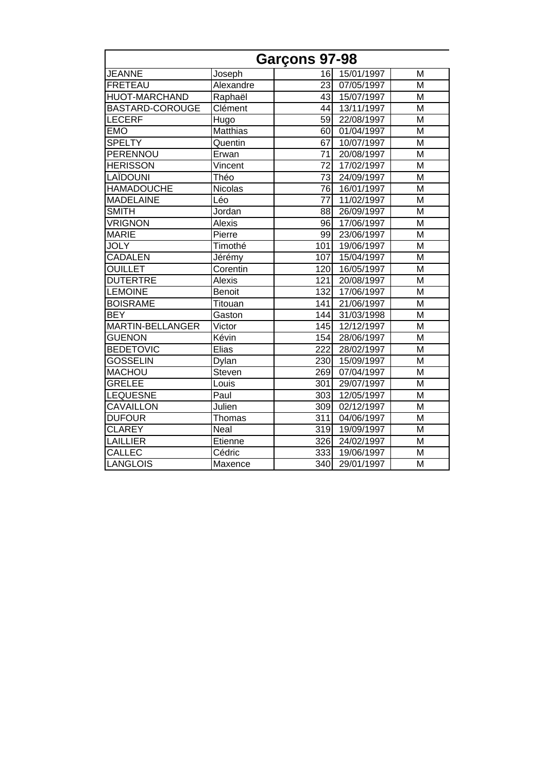|                      |                | Garçons 97-98   |            |   |
|----------------------|----------------|-----------------|------------|---|
| <b>JEANNE</b>        | Joseph         | 16              | 15/01/1997 | M |
| <b>FRETEAU</b>       | Alexandre      | 23              | 07/05/1997 | M |
| <b>HUOT-MARCHAND</b> | Raphaël        | 43              | 15/07/1997 | M |
| BASTARD-COROUGE      | Clément        | 44              | 13/11/1997 | M |
| <b>LECERF</b>        | Hugo           | 59              | 22/08/1997 | M |
| <b>EMO</b>           | Matthias       | 60              | 01/04/1997 | M |
| <b>SPELTY</b>        | Quentin        | 67              | 10/07/1997 | M |
| PERENNOU             | Erwan          | 71              | 20/08/1997 | M |
| <b>HERISSON</b>      | Vincent        | 72              | 17/02/1997 | M |
| LAÏDOUNI             | Théo           | $\overline{73}$ | 24/09/1997 | M |
| <b>HAMADOUCHE</b>    | <b>Nicolas</b> | 76              | 16/01/1997 | M |
| <b>MADELAINE</b>     | Léo            | $\overline{77}$ | 11/02/1997 | M |
| <b>SMITH</b>         | Jordan         | 88              | 26/09/1997 | M |
| <b>VRIGNON</b>       | Alexis         | 96              | 17/06/1997 | M |
| <b>MARIE</b>         | Pierre         | 99              | 23/06/1997 | M |
| <b>JOLY</b>          | Timothé        | 101             | 19/06/1997 | M |
| <b>CADALEN</b>       | Jérémy         | 107             | 15/04/1997 | M |
| <b>OUILLET</b>       | Corentin       | 120             | 16/05/1997 | M |
| <b>DUTERTRE</b>      | <b>Alexis</b>  | 121             | 20/08/1997 | M |
| <b>LEMOINE</b>       | <b>Benoit</b>  | 132             | 17/06/1997 | M |
| <b>BOISRAME</b>      | Titouan        | 141             | 21/06/1997 | M |
| <b>BEY</b>           | Gaston         | 144             | 31/03/1998 | M |
| MARTIN-BELLANGER     | Victor         | 145             | 12/12/1997 | M |
| <b>GUENON</b>        | Kévin          | 154             | 28/06/1997 | M |
| <b>BEDETOVIC</b>     | Elias          | 222             | 28/02/1997 | M |
| <b>GOSSELIN</b>      | Dylan          | 230             | 15/09/1997 | M |
| <b>MACHOU</b>        | Steven         | 269             | 07/04/1997 | M |
| <b>GRELEE</b>        | Louis          | 301             | 29/07/1997 | M |
| <b>LEQUESNE</b>      | Paul           | 303             | 12/05/1997 | M |
| <b>CAVAILLON</b>     | Julien         | 309             | 02/12/1997 | M |
| <b>DUFOUR</b>        | Thomas         | 311             | 04/06/1997 | M |
| <b>CLAREY</b>        | Neal           | 319             | 19/09/1997 | M |
| <b>LAILLIER</b>      | Etienne        | 326             | 24/02/1997 | M |
| <b>CALLEC</b>        | Cédric         | 333             | 19/06/1997 | M |
| LANGLOIS             | Maxence        | 340             | 29/01/1997 | M |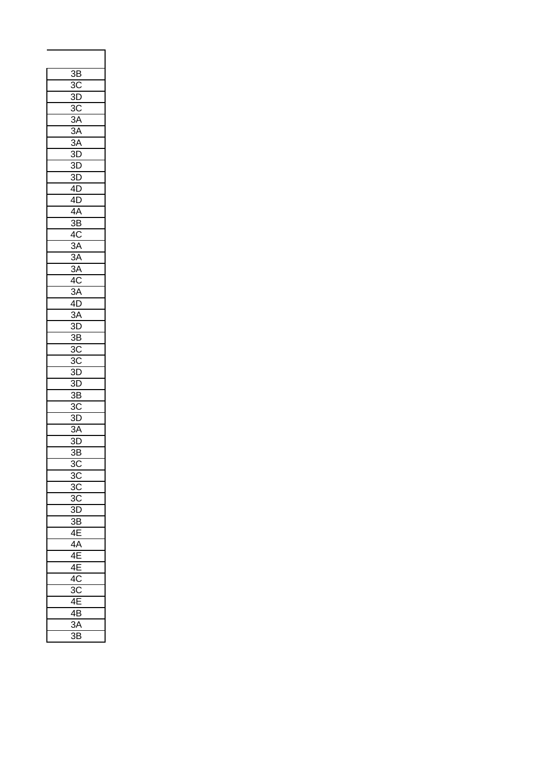| $\overline{3}B$            |
|----------------------------|
| $\overline{3C}$            |
| $3\overline{\mathsf{D}}$   |
| $\overline{3C}$            |
| $\overline{3A}$            |
| 3A                         |
| $\overline{3A}$            |
| $3\overline{D}$            |
| $\overline{3}$ D           |
| 3D                         |
| 4D                         |
| 4Đ                         |
| 4Ā                         |
| $\overline{\mathsf{3B}}$   |
|                            |
| 4C                         |
| 3A                         |
| $\overline{3A}$            |
| 3A                         |
| 4Ō                         |
| 3A                         |
| 4D                         |
| ЗA                         |
| $\overline{3D}$            |
| $\overline{3B}$            |
| $\overline{3C}$            |
| $\overline{3}\overline{C}$ |
| 3D                         |
| $\overline{3D}$            |
| $\overline{3B}$            |
| $\frac{1}{3C}$             |
| $\overline{3D}$            |
| 3A                         |
| $\overline{3D}$            |
| 3B                         |
| 3C                         |
| 3 <sub>C</sub>             |
| 30                         |
| 30                         |
| .<br>3L<br>)               |
| ЗB                         |
| $\overline{4}$             |
| $\overline{4A}$            |
| 4I                         |
| $\overline{4}$             |
|                            |
| 4C                         |
| 3Ō                         |
| $\overline{4}$             |
| 4I<br>ś                    |
| 3A                         |
| $\overline{3}$<br>3        |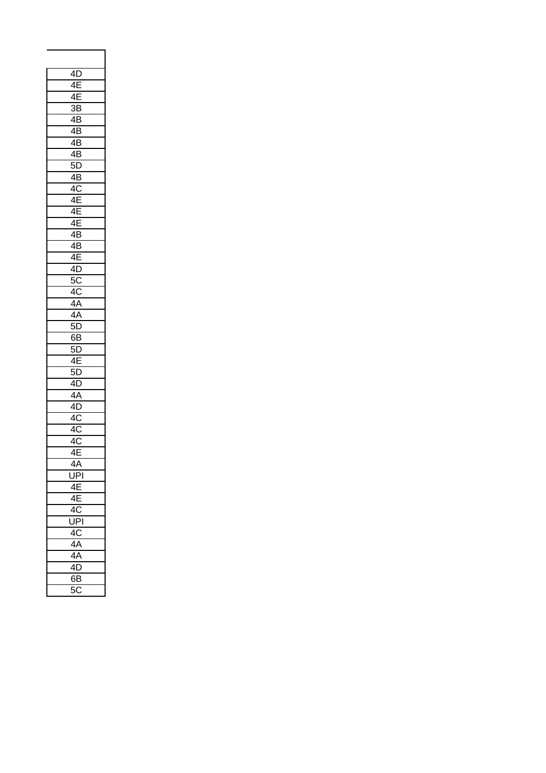| 4D               |
|------------------|
| 4E               |
| 4E               |
| $\overline{3B}$  |
| $4\overline{B}$  |
| $\overline{4}$ B |
| 4B               |
| 4B               |
| $5\overline{D}$  |
| $4\overline{B}$  |
| $4\overline{C}$  |
| 4E               |
|                  |
| 4E               |
| 4E               |
| 4B               |
| $\overline{AB}$  |
| 4E               |
| $\frac{1}{4D}$   |
| $\frac{4L}{5C}$  |
| $\overline{4C}$  |
| 4A               |
| 4A               |
| 5D               |
| 6B               |
| 5D               |
| 4E               |
| 5D               |
| $4\overline{D}$  |
| 4A               |
| 4D               |
| 4C               |
| $\frac{1}{4C}$   |
| $\overline{4}C$  |
| 4E               |
|                  |
| 4A               |
| UPĪ              |
| 4E               |
| 4 <sub>E</sub>   |
| 4C               |
| UPI              |
| 4C               |
| 4A               |
| $\overline{4A}$  |
| 4D               |
| $\overline{6}$ B |
| 50               |
|                  |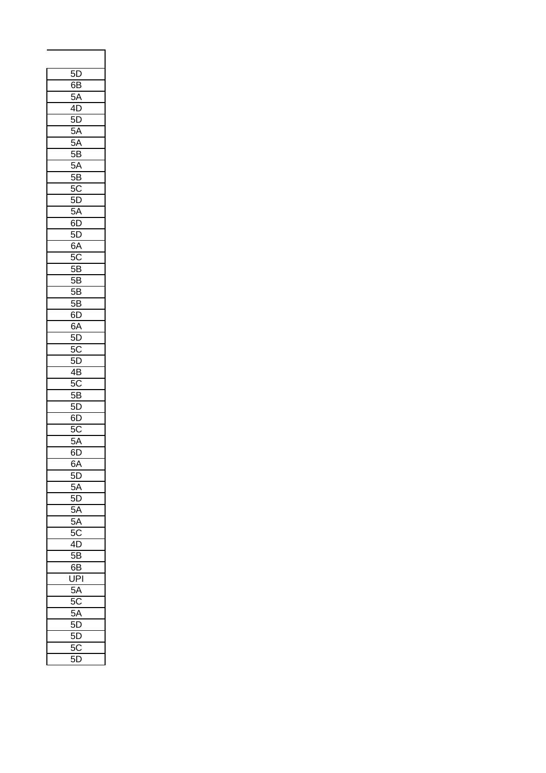| 5D                         |
|----------------------------|
| 6B                         |
| $5\overline{A}$            |
| 4D                         |
| 5D                         |
|                            |
| $\overline{5A}$            |
| $5\overline{A}$            |
| $\overline{5B}$            |
| $\bar{5}A$                 |
| $\overline{5B}$            |
| 5C                         |
| 5D                         |
| $5\overline{A}$            |
| $6\overline{D}$            |
| $5\overline{D}$            |
|                            |
| $\overline{6}A$            |
| $\overline{5}C$            |
| 5E<br>3                    |
| $\overline{5}$<br>3        |
| 5B                         |
| $\overline{5B}$            |
| 6D                         |
| 6A                         |
| 5D                         |
|                            |
| $\overline{5C}$            |
| $5\overline{D}$            |
| $\overline{AB}$            |
| 5 <sub>C</sub>             |
| $\overline{5B}$            |
| $\overline{5D}$            |
| $\overline{6}\overline{0}$ |
| .<br>5C                    |
| 5A                         |
| 6D                         |
|                            |
| 6A                         |
| 5D                         |
| 5A                         |
| 5I<br>)                    |
| 5A                         |
| 5A                         |
| 50                         |
| $\overline{4}$<br>)        |
| 5I<br>Ŝ                    |
| 6E<br>3                    |
|                            |
| ŪI<br>기                    |
| 5A                         |
| 50                         |
| 5A                         |
| 5I<br>)                    |
| 5D<br>)                    |
| 50                         |
| 5I<br>)                    |
|                            |